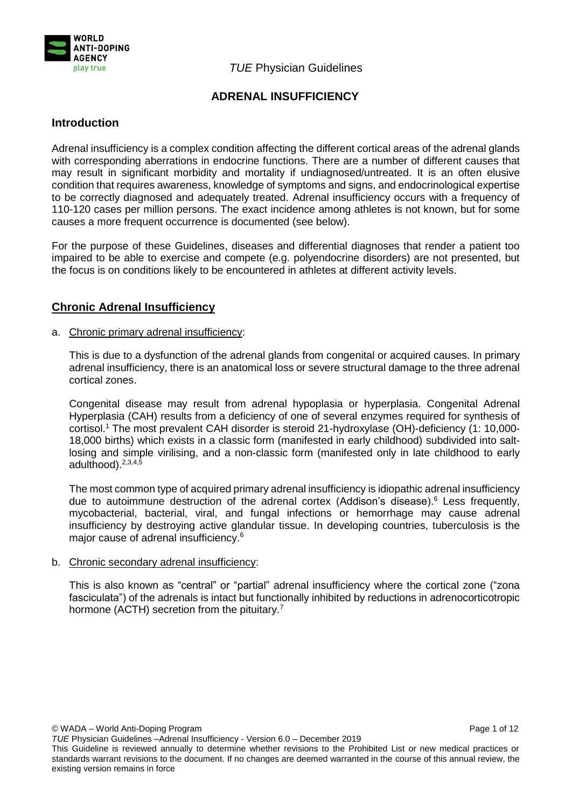

# **ADRENAL INSUFFICIENCY**

# **Introduction**

Adrenal insufficiency is a complex condition affecting the different cortical areas of the adrenal glands with corresponding aberrations in endocrine functions. There are a number of different causes that may result in significant morbidity and mortality if undiagnosed/untreated. It is an often elusive condition that requires awareness, knowledge of symptoms and signs, and endocrinological expertise to be correctly diagnosed and adequately treated. Adrenal insufficiency occurs with a frequency of 110-120 cases per million persons. The exact incidence among athletes is not known, but for some causes a more frequent occurrence is documented (see below).

For the purpose of these Guidelines, diseases and differential diagnoses that render a patient too impaired to be able to exercise and compete (e.g. polyendocrine disorders) are not presented, but the focus is on conditions likely to be encountered in athletes at different activity levels.

# **Chronic Adrenal Insufficiency**

## a. Chronic primary adrenal insufficiency:

This is due to a dysfunction of the adrenal glands from congenital or acquired causes. In primary adrenal insufficiency, there is an anatomical loss or severe structural damage to the three adrenal cortical zones.

Congenital disease may result from adrenal hypoplasia or hyperplasia. [Congenital Adrenal](http://en.wikipedia.org/wiki/Congenital_adrenal_hyperplasia)  [Hyperplasia](http://en.wikipedia.org/wiki/Congenital_adrenal_hyperplasia) (CAH) results from a deficiency of one of several enzymes required for synthesis of cortisol.<sup>1</sup> The most prevalent CAH disorder is steroid 21-hydroxylase (OH)-deficiency (1: 10,000- 18,000 births) which exists in a classic form (manifested in early childhood) subdivided into saltlosing and simple virilising, and a non-classic form (manifested only in late childhood to early adulthood). 2,3,4,5

The most common type of acquired primary adrenal insufficiency i[s idiopathic](http://en.wikipedia.org/wiki/Idiopathic) adrenal insufficiency due to autoimmune [destruction of the adren](http://en.wikipedia.org/wiki/Autoimmune_disease)al cortex (Addison's disease). <sup>6</sup> Less frequently, mycobacterial, bacterial, viral, and fungal infections or hemorrhage may cause adrenal insufficiency by destroying active glandular tissue. In developing countries, tuberculosis is the major cause of adrenal insufficiency. 6

#### b. Chronic secondary adrenal insufficiency:

This is also known as "central" or "partial" adrenal insufficiency where the cortical zone ("zona fasciculata") of the adrenals is intact but functionally inhibited by reductions in adrenocorticotropic hormone (ACTH) secretion from the pituitary.<sup>7</sup>

© WADA – World Anti-Doping Program Page 1 of 12

This Guideline is reviewed annually to determine whether revisions to the Prohibited List or new medical practices or standards warrant revisions to the document. If no changes are deemed warranted in the course of this annual review, the existing version remains in force

*TUE* Physician Guidelines –Adrenal Insufficiency - Version 6.0 – December 2019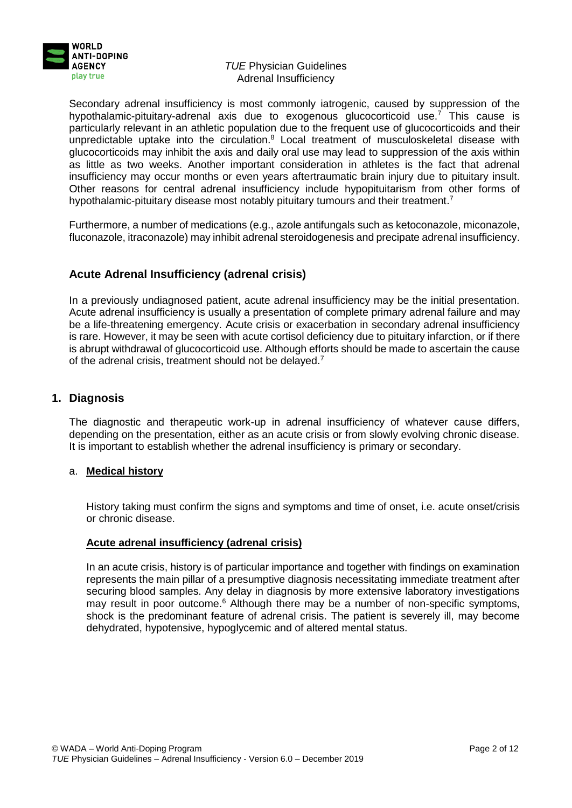

Secondary adrenal insufficiency is most commonly iatrogenic, caused by suppression of the hypothalamic-pituitary-adrenal axis due to exogenous glucocorticoid use.<sup>7</sup> This cause is particularly relevant in an athletic population due to the frequent use of glucocorticoids and their unpredictable uptake into the circulation.<sup>8</sup> Local treatment of musculoskeletal disease with glucocorticoids may inhibit the axis and daily oral use may lead to suppression of the axis within as little as two weeks. Another important consideration in athletes is the fact that adrenal insufficiency may occur months or even years aftertraumatic brain injury due to pituitary insult. Other reasons for central adrenal insufficiency include hypopituitarism from other forms of hypothalamic-pituitary disease most notably pituitary tumours and their treatment.<sup>7</sup>

Furthermore, a number of medications (e.g., azole antifungals such as ketoconazole, miconazole, fluconazole, itraconazole) may inhibit adrenal steroidogenesis and precipate adrenal insufficiency.

# **Acute Adrenal Insufficiency (adrenal crisis)**

In a previously undiagnosed patient, acute adrenal insufficiency may be the initial presentation. Acute adrenal insufficiency is usually a presentation of complete primary adrenal failure and may be a life-threatening emergency. Acute crisis or exacerbation in secondary adrenal insufficiency is rare. However, it may be seen with acute cortisol deficiency due to pituitary infarction, or if there is abrupt withdrawal of glucocorticoid use. Although efforts should be made to ascertain the cause of the adrenal crisis, treatment should not be delayed.<sup>7</sup>

# **1. Diagnosis**

The diagnostic and therapeutic work-up in adrenal insufficiency of whatever cause differs, depending on the presentation, either as an acute crisis or from slowly evolving chronic disease. It is important to establish whether the adrenal insufficiency is primary or secondary.

#### a. **Medical history**

History taking must confirm the signs and symptoms and time of onset, i.e. acute onset/crisis or chronic disease.

## **Acute adrenal insufficiency (adrenal crisis)**

In an acute crisis, history is of particular importance and together with findings on examination represents the main pillar of a presumptive diagnosis necessitating immediate treatment after securing blood samples. Any delay in diagnosis by more extensive laboratory investigations may result in poor outcome.<sup>6</sup> Although there may be a number of non-specific symptoms, shock is the predominant feature of adrenal crisis. The patient is severely ill, may become dehydrated, hypotensive, hypoglycemic and of altered mental status.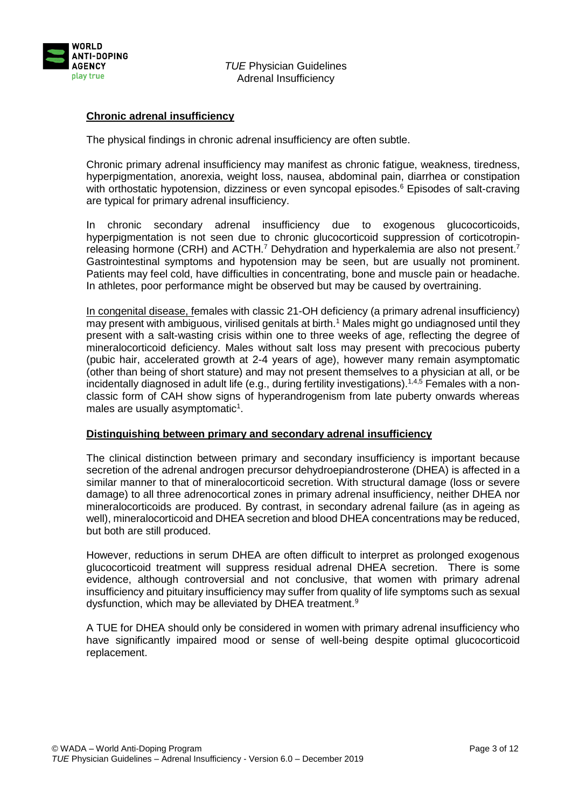

# **Chronic adrenal insufficiency**

The physical findings in chronic adrenal insufficiency are often subtle.

Chronic primary adrenal insufficiency may manifest as chronic fatigue, weakness, tiredness, hyperpigmentation, anorexia, weight loss, nausea, abdominal pain, diarrhea or constipation with orthostatic hypotension, dizziness or even syncopal episodes.<sup>6</sup> Episodes of salt-craving are typical for primary adrenal insufficiency.

In chronic secondary adrenal insufficiency due to exogenous glucocorticoids, hyperpigmentation is not seen due to chronic glucocorticoid suppression of corticotropinreleasing hormone (CRH) and ACTH.<sup>7</sup> Dehydration and hyperkalemia are also not present.<sup>7</sup> Gastrointestinal symptoms and hypotension may be seen, but are usually not prominent. Patients may feel cold, have difficulties in concentrating, bone and muscle pain or headache. In athletes, poor performance might be observed but may be caused by overtraining.

In congenital disease, females with classic 21-OH deficiency (a primary adrenal insufficiency) may present with ambiguous, virilised genitals at birth.<sup>1</sup> Males might go undiagnosed until they present with a salt-wasting crisis within one to three weeks of age, reflecting the degree of mineralocorticoid deficiency. Males without salt loss may present with precocious puberty (pubic hair, accelerated growth at 2-4 years of age), however many remain asymptomatic (other than being of short stature) and may not present themselves to a physician at all, or be incidentally diagnosed in adult life (e.g., during fertility investigations).<sup>1,4,5</sup> Females with a nonclassic form of CAH show signs of hyperandrogenism from late puberty onwards whereas males are usually asymptomatic<sup>1</sup>.

#### **Distinguishing between primary and secondary adrenal insufficiency**

The clinical distinction between primary and secondary insufficiency is important because secretion of the adrenal androgen precursor dehydroepiandrosterone (DHEA) is affected in a similar manner to that of mineralocorticoid secretion. With structural damage (loss or severe damage) to all three adrenocortical zones in primary adrenal insufficiency, neither DHEA nor mineralocorticoids are produced. By contrast, in secondary adrenal failure (as in ageing as well), mineralocorticoid and DHEA secretion and blood DHEA concentrations may be reduced, but both are still produced.

However, reductions in serum DHEA are often difficult to interpret as prolonged exogenous glucocorticoid treatment will suppress residual adrenal DHEA secretion. There is some evidence, although controversial and not conclusive, that women with primary adrenal insufficiency and pituitary insufficiency may suffer from quality of life symptoms such as sexual dysfunction, which may be alleviated by DHEA treatment.<sup>9</sup>

A TUE for DHEA should only be considered in women with primary adrenal insufficiency who have significantly impaired mood or sense of well-being despite optimal glucocorticoid replacement.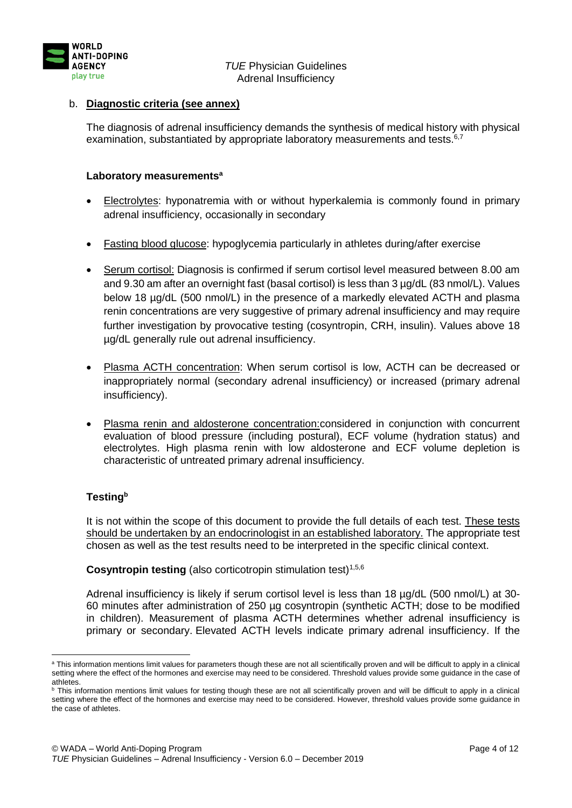

# b. **Diagnostic criteria (see annex)**

The diagnosis of adrenal insufficiency demands the synthesis of medical history with physical examination, substantiated by appropriate laboratory measurements and tests.<sup>6,7</sup>

## **Laboratory measurements<sup>a</sup>**

- Electrolytes: hyponatremia with or without hyperkalemia is commonly found in primary adrenal insufficiency, occasionally in secondary
- Fasting blood glucose: hypoglycemia particularly in athletes during/after exercise
- Serum cortisol: Diagnosis is confirmed if serum cortisol level measured between 8.00 am and 9.30 am after an overnight fast (basal cortisol) is less than 3  $\mu$ g/dL (83 nmol/L). Values below 18 µg/dL (500 nmol/L) in the presence of a markedly elevated ACTH and plasma renin concentrations are very suggestive of primary adrenal insufficiency and may require further investigation by provocative testing (cosyntropin, CRH, insulin). Values above 18 µg/dL generally rule out adrenal insufficiency.
- Plasma ACTH concentration: When serum cortisol is low, ACTH can be decreased or inappropriately normal (secondary adrenal insufficiency) or increased (primary adrenal insufficiency).
- Plasma renin and aldosterone concentration:considered in conjunction with concurrent evaluation of blood pressure (including postural), ECF volume (hydration status) and electrolytes. High plasma renin with low aldosterone and ECF volume depletion is characteristic of untreated primary adrenal insufficiency.

# **Testing<sup>b</sup>**

It is not within the scope of this document to provide the full details of each test. These tests should be undertaken by an endocrinologist in an established laboratory. The appropriate test chosen as well as the test results need to be interpreted in the specific clinical context.

**Cosyntropin testing** (also corticotropin stimulation test)<sup>1,5,6</sup>

Adrenal insufficiency is likely if serum cortisol level is less than 18 µg/dL (500 nmol/L) at 30- 60 minutes after administration of 250 µg cosyntropin (synthetic ACTH; dose to be modified in children). Measurement of plasma ACTH determines whether adrenal insufficiency is primary or secondary. Elevated ACTH levels indicate primary adrenal insufficiency. If the

<sup>1</sup> a This information mentions limit values for parameters though these are not all scientifically proven and will be difficult to apply in a clinical setting where the effect of the hormones and exercise may need to be considered. Threshold values provide some guidance in the case of athletes.

b This information mentions limit values for testing though these are not all scientifically proven and will be difficult to apply in a clinical setting where the effect of the hormones and exercise may need to be considered. However, threshold values provide some guidance in the case of athletes.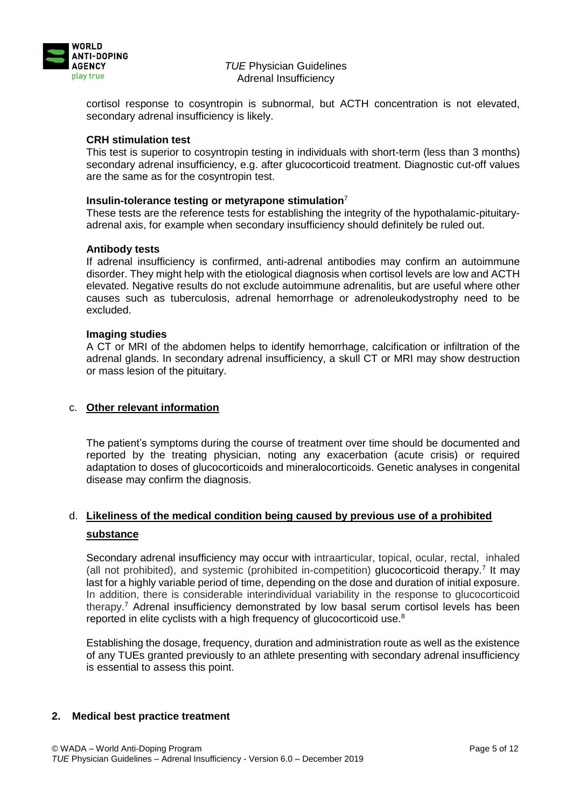

cortisol response to cosyntropin is subnormal, but ACTH concentration is not elevated, secondary adrenal insufficiency is likely.

### **CRH stimulation test**

This test is superior to cosyntropin testing in individuals with short-term (less than 3 months) secondary adrenal insufficiency, e.g. after glucocorticoid treatment. Diagnostic cut-off values are the same as for the cosyntropin test.

#### **Insulin-tolerance testing or metyrapone stimulation**<sup>7</sup>

These tests are the reference tests for establishing the integrity of the hypothalamic-pituitaryadrenal axis, for example when secondary insufficiency should definitely be ruled out.

## **Antibody tests**

If adrenal insufficiency is confirmed, anti-adrenal antibodies may confirm an autoimmune disorder. They might help with the etiological diagnosis when cortisol levels are low and ACTH elevated. Negative results do not exclude autoimmune adrenalitis, but are useful where other causes such as tuberculosis, adrenal hemorrhage or adrenoleukodystrophy need to be excluded.

#### **Imaging studies**

A CT or MRI of the abdomen helps to identify hemorrhage, calcification or infiltration of the adrenal glands. In secondary adrenal insufficiency, a skull CT or MRI may show destruction or mass lesion of the pituitary.

### c. **Other relevant information**

The patient's symptoms during the course of treatment over time should be documented and reported by the treating physician, noting any exacerbation (acute crisis) or required adaptation to doses of glucocorticoids and mineralocorticoids. Genetic analyses in congenital disease may confirm the diagnosis.

# d. **Likeliness of the medical condition being caused by previous use of a prohibited substance**

Secondary adrenal insufficiency may occur with intraarticular, topical, ocular, rectal, inhaled (all not prohibited), and systemic (prohibited in-competition) glucocorticoid therapy.<sup>7</sup> It may last for a highly variable period of time, depending on the dose and duration of initial exposure. In addition, there is considerable interindividual variability in the response to glucocorticoid therapy. <sup>7</sup> Adrenal insufficiency demonstrated by low basal serum cortisol levels has been reported in elite cyclists with a high frequency of glucocorticoid use.<sup>8</sup>

Establishing the dosage, frequency, duration and administration route as well as the existence of any TUEs granted previously to an athlete presenting with secondary adrenal insufficiency is essential to assess this point.

#### **2. Medical best practice treatment**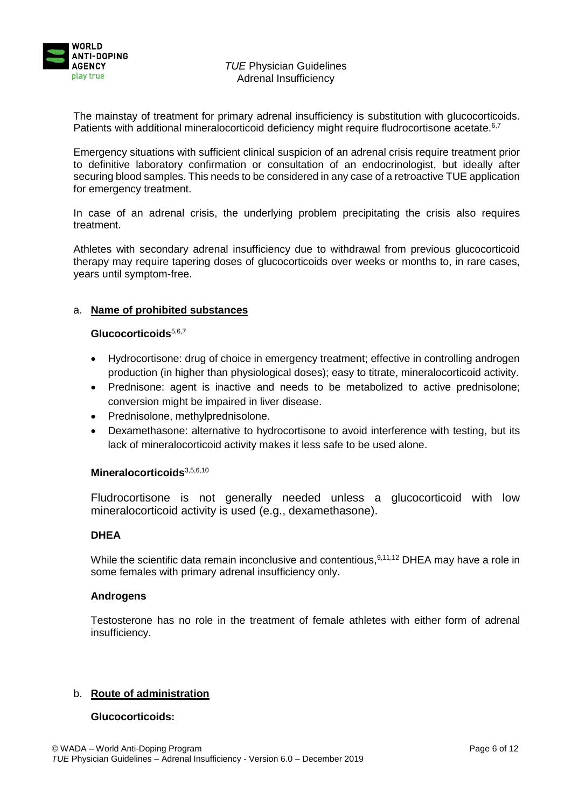

The mainstay of treatment for primary adrenal insufficiency is substitution with glucocorticoids. Patients with additional mineralocorticoid deficiency might require fludrocortisone acetate.<sup>6,7</sup>

Emergency situations with sufficient clinical suspicion of an adrenal crisis require treatment prior to definitive laboratory confirmation or consultation of an endocrinologist, but ideally after securing blood samples. This needs to be considered in any case of a retroactive TUE application for emergency treatment.

In case of an adrenal crisis, the underlying problem precipitating the crisis also requires treatment.

Athletes with secondary adrenal insufficiency due to withdrawal from previous glucocorticoid therapy may require tapering doses of glucocorticoids over weeks or months to, in rare cases, years until symptom-free.

## a. **Name of prohibited substances**

## **Glucocorticoids**5,6,7

- Hydrocortisone: drug of choice in emergency treatment; effective in controlling androgen production (in higher than physiological doses); easy to titrate, mineralocorticoid activity.
- Prednisone: agent is inactive and needs to be metabolized to active prednisolone; conversion might be impaired in liver disease.
- Prednisolone, methylprednisolone.
- Dexamethasone: alternative to hydrocortisone to avoid interference with testing, but its lack of mineralocorticoid activity makes it less safe to be used alone.

#### **Mineralocorticoids**3,5,6,10

Fludrocortisone is not generally needed unless a glucocorticoid with low mineralocorticoid activity is used (e.g., dexamethasone).

## **DHEA**

While the scientific data remain inconclusive and contentious,  $9,11,12$  DHEA may have a role in some females with primary adrenal insufficiency only.

#### **Androgens**

Testosterone has no role in the treatment of female athletes with either form of adrenal insufficiency.

## b. **Route of administration**

## **Glucocorticoids:**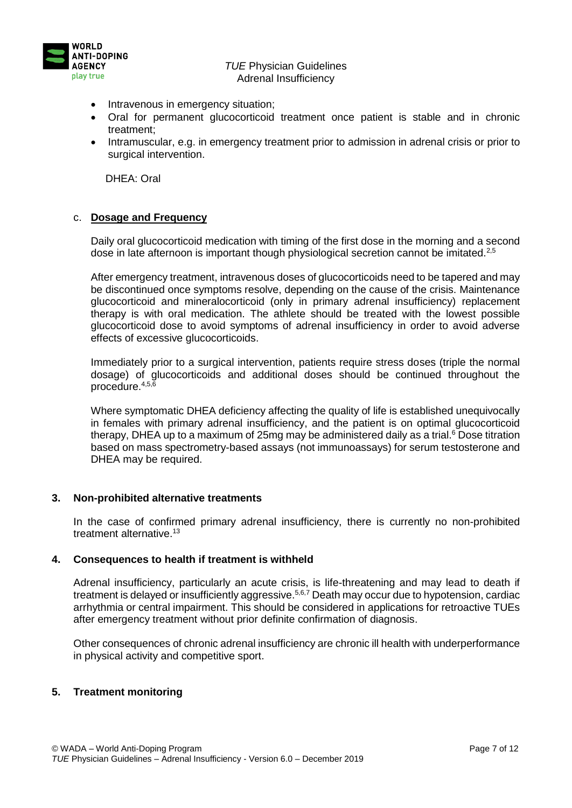

- Intravenous in emergency situation:
- Oral for permanent glucocorticoid treatment once patient is stable and in chronic treatment;
- Intramuscular, e.g. in emergency treatment prior to admission in adrenal crisis or prior to surgical intervention.

DHEA: Oral

## c. **Dosage and Frequency**

Daily oral glucocorticoid medication with timing of the first dose in the morning and a second dose in late afternoon is important though physiological secretion cannot be imitated.<sup>2,5</sup>

After emergency treatment, intravenous doses of glucocorticoids need to be tapered and may be discontinued once symptoms resolve, depending on the cause of the crisis. Maintenance glucocorticoid and mineralocorticoid (only in primary adrenal insufficiency) replacement therapy is with oral medication. The athlete should be treated with the lowest possible glucocorticoid dose to avoid symptoms of adrenal insufficiency in order to avoid adverse effects of excessive glucocorticoids.

Immediately prior to a surgical intervention, patients require stress doses (triple the normal dosage) of glucocorticoids and additional doses should be continued throughout the procedure.4,5,6

Where symptomatic DHEA deficiency affecting the quality of life is established unequivocally in females with primary adrenal insufficiency, and the patient is on optimal glucocorticoid therapy, DHEA up to a maximum of 25mg may be administered daily as a trial.<sup>6</sup> Dose titration based on mass spectrometry-based assays (not immunoassays) for serum testosterone and DHEA may be required.

#### **3. Non-prohibited alternative treatments**

In the case of confirmed primary adrenal insufficiency, there is currently no non-prohibited treatment alternative.<sup>13</sup>

#### **4. Consequences to health if treatment is withheld**

Adrenal insufficiency, particularly an acute crisis, is life-threatening and may lead to death if treatment is delayed or insufficiently aggressive.<sup>5,6,7</sup> Death may occur due to hypotension, cardiac arrhythmia or central impairment. This should be considered in applications for retroactive TUEs after emergency treatment without prior definite confirmation of diagnosis.

Other consequences of chronic adrenal insufficiency are chronic ill health with underperformance in physical activity and competitive sport.

## **5. Treatment monitoring**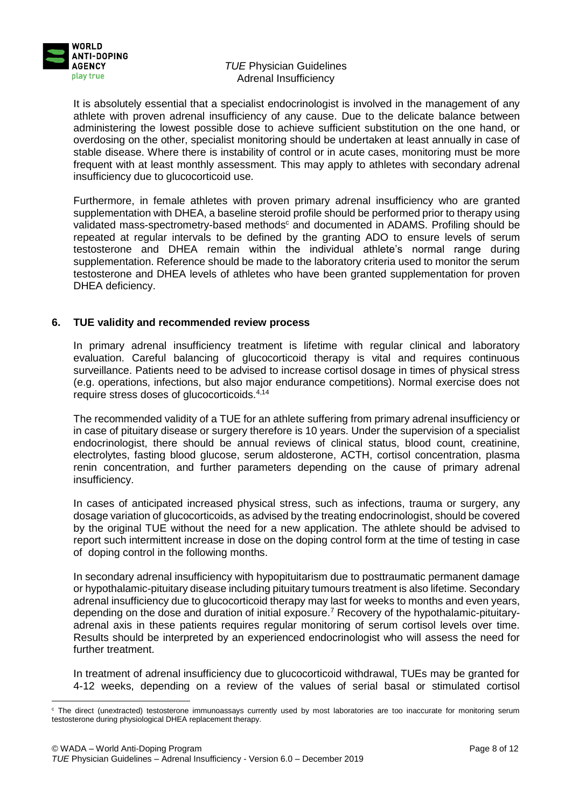

1

## *TUE* Physician Guidelines Adrenal Insufficiency

It is absolutely essential that a specialist endocrinologist is involved in the management of any athlete with proven adrenal insufficiency of any cause. Due to the delicate balance between administering the lowest possible dose to achieve sufficient substitution on the one hand, or overdosing on the other, specialist monitoring should be undertaken at least annually in case of stable disease. Where there is instability of control or in acute cases, monitoring must be more frequent with at least monthly assessment. This may apply to athletes with secondary adrenal insufficiency due to glucocorticoid use.

Furthermore, in female athletes with proven primary adrenal insufficiency who are granted supplementation with DHEA, a baseline steroid profile should be performed prior to therapy using validated mass-spectrometry-based methods<sup>c</sup> and documented in ADAMS. Profiling should be repeated at regular intervals to be defined by the granting ADO to ensure levels of serum testosterone and DHEA remain within the individual athlete's normal range during supplementation. Reference should be made to the laboratory criteria used to monitor the serum testosterone and DHEA levels of athletes who have been granted supplementation for proven DHEA deficiency.

## **6. TUE validity and recommended review process**

In primary adrenal insufficiency treatment is lifetime with regular clinical and laboratory evaluation. Careful balancing of glucocorticoid therapy is vital and requires continuous surveillance. Patients need to be advised to increase cortisol dosage in times of physical stress (e.g. operations, infections, but also major endurance competitions). Normal exercise does not require stress doses of glucocorticoids.4,14

The recommended validity of a TUE for an athlete suffering from primary adrenal insufficiency or in case of pituitary disease or surgery therefore is 10 years. Under the supervision of a specialist endocrinologist, there should be annual reviews of clinical status, blood count, creatinine, electrolytes, fasting blood glucose, serum aldosterone, ACTH, cortisol concentration, plasma renin concentration, and further parameters depending on the cause of primary adrenal insufficiency.

In cases of anticipated increased physical stress, such as infections, trauma or surgery, any dosage variation of glucocorticoids, as advised by the treating endocrinologist, should be covered by the original TUE without the need for a new application. The athlete should be advised to report such intermittent increase in dose on the doping control form at the time of testing in case of doping control in the following months.

In secondary adrenal insufficiency with hypopituitarism due to posttraumatic permanent damage or hypothalamic-pituitary disease including pituitary tumours treatment is also lifetime. Secondary adrenal insufficiency due to glucocorticoid therapy may last for weeks to months and even years, depending on the dose and duration of initial exposure.<sup>7</sup> Recovery of the hypothalamic-pituitaryadrenal axis in these patients requires regular monitoring of serum cortisol levels over time. Results should be interpreted by an experienced endocrinologist who will assess the need for further treatment.

In treatment of adrenal insufficiency due to glucocorticoid withdrawal, TUEs may be granted for 4-12 weeks, depending on a review of the values of serial basal or stimulated cortisol

<sup>c</sup> The direct (unextracted) testosterone immunoassays currently used by most laboratories are too inaccurate for monitoring serum testosterone during physiological DHEA replacement therapy.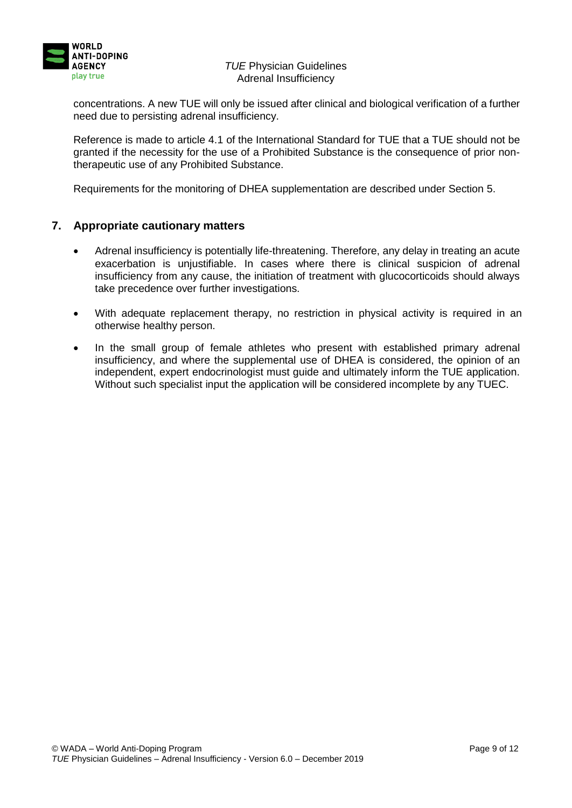

concentrations. A new TUE will only be issued after clinical and biological verification of a further need due to persisting adrenal insufficiency.

Reference is made to article 4.1 of the International Standard for TUE that a TUE should not be granted if the necessity for the use of a Prohibited Substance is the consequence of prior nontherapeutic use of any Prohibited Substance.

Requirements for the monitoring of DHEA supplementation are described under Section 5.

## **7. Appropriate cautionary matters**

- Adrenal insufficiency is potentially life-threatening. Therefore, any delay in treating an acute exacerbation is unjustifiable. In cases where there is clinical suspicion of adrenal insufficiency from any cause, the initiation of treatment with glucocorticoids should always take precedence over further investigations.
- With adequate replacement therapy, no restriction in physical activity is required in an otherwise healthy person.
- In the small group of female athletes who present with established primary adrenal insufficiency, and where the supplemental use of DHEA is considered, the opinion of an independent, expert endocrinologist must guide and ultimately inform the TUE application. Without such specialist input the application will be considered incomplete by any TUEC.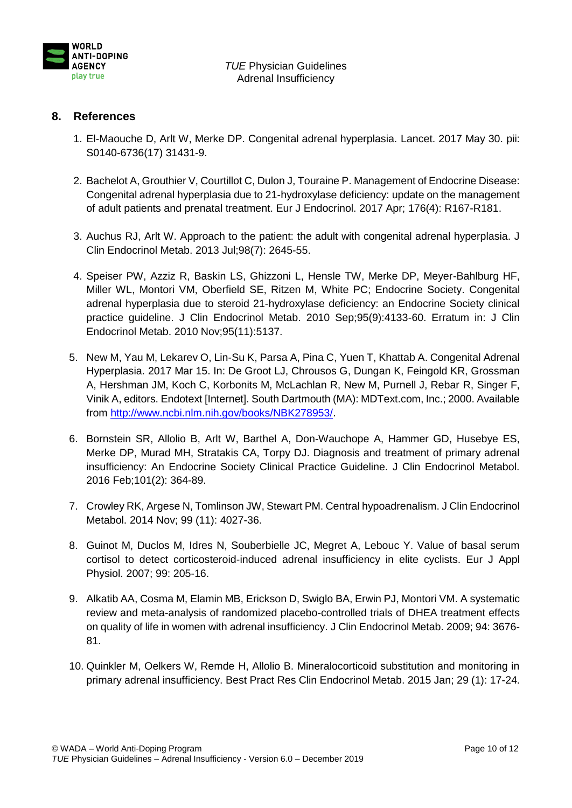

# **8. References**

- 1. El-Maouche D, Arlt W, Merke DP. Congenital adrenal hyperplasia. Lancet. 2017 May 30. pii: S0140-6736(17) 31431-9.
- 2. Bachelot A, Grouthier V, Courtillot C, Dulon J, Touraine P. Management of Endocrine Disease: Congenital adrenal hyperplasia due to 21-hydroxylase deficiency: update on the management of adult patients and prenatal treatment. Eur J Endocrinol. 2017 Apr; 176(4): R167-R181.
- 3. Auchus RJ, Arlt W. Approach to the patient: the adult with congenital adrenal hyperplasia. J Clin Endocrinol Metab. 2013 Jul;98(7): 2645-55.
- 4. Speiser PW, Azziz R, Baskin LS, Ghizzoni L, Hensle TW, Merke DP, Meyer-Bahlburg HF, Miller WL, Montori VM, Oberfield SE, Ritzen M, White PC; Endocrine Society. Congenital adrenal hyperplasia due to steroid 21-hydroxylase deficiency: an Endocrine Society clinical practice guideline. J Clin Endocrinol Metab. 2010 Sep;95(9):4133-60. Erratum in: J Clin Endocrinol Metab. 2010 Nov;95(11):5137.
- 5. New M, Yau M, Lekarev O, Lin-Su K, Parsa A, Pina C, Yuen T, Khattab A. Congenital Adrenal Hyperplasia. 2017 Mar 15. In: De Groot LJ, Chrousos G, Dungan K, Feingold KR, Grossman A, Hershman JM, Koch C, Korbonits M, McLachlan R, New M, Purnell J, Rebar R, Singer F, Vinik A, editors. Endotext [Internet]. South Dartmouth (MA): MDText.com, Inc.; 2000. Available from [http://www.ncbi.nlm.nih.gov/books/NBK278953/.](http://www.ncbi.nlm.nih.gov/books/NBK278953/)
- 6. Bornstein SR, Allolio B, Arlt W, Barthel A, Don-Wauchope A, Hammer GD, Husebye ES, Merke DP, Murad MH, Stratakis CA, Torpy DJ. Diagnosis and treatment of primary adrenal insufficiency: An Endocrine Society Clinical Practice Guideline. J Clin Endocrinol Metabol. 2016 Feb;101(2): 364-89.
- 7. Crowley RK, Argese N, Tomlinson JW, Stewart PM. Central hypoadrenalism. J Clin Endocrinol Metabol. 2014 Nov; 99 (11): 4027-36.
- 8. Guinot M, Duclos M, Idres N, Souberbielle JC, Megret A, Lebouc Y. Value of basal serum cortisol to detect corticosteroid-induced adrenal insufficiency in elite cyclists. Eur J Appl Physiol. 2007; 99: 205-16.
- 9. Alkatib AA, Cosma M, Elamin MB, Erickson D, Swiglo BA, Erwin PJ, Montori VM. A systematic review and meta-analysis of randomized placebo-controlled trials of DHEA treatment effects on quality of life in women with adrenal insufficiency. J Clin Endocrinol Metab. 2009; 94: 3676- 81.
- 10. Quinkler M, Oelkers W, Remde H, Allolio B. Mineralocorticoid substitution and monitoring in primary adrenal insufficiency. Best Pract Res Clin Endocrinol Metab. 2015 Jan; 29 (1): 17-24.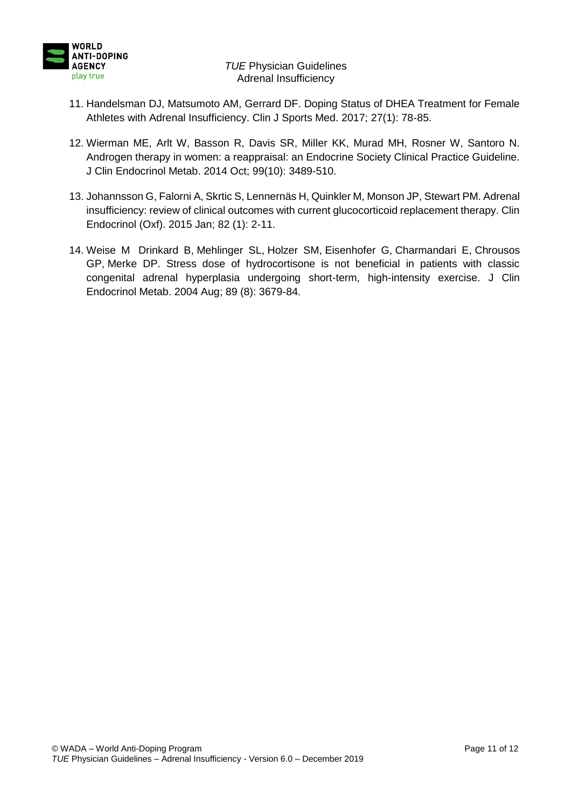

- 11. Handelsman DJ, Matsumoto AM, Gerrard DF. Doping Status of DHEA Treatment for Female Athletes with Adrenal Insufficiency. Clin J Sports Med. 2017; 27(1): 78-85.
- 12. Wierman ME, Arlt W, Basson R, Davis SR, Miller KK, Murad MH, Rosner W, Santoro N. Androgen therapy in women: a reappraisal: an Endocrine Society Clinical Practice Guideline. J Clin Endocrinol Metab. 2014 Oct; 99(10): 3489-510.
- 13. Johannsson G, Falorni A, Skrtic S, Lennernäs H, Quinkler M, Monson JP, Stewart PM. Adrenal insufficiency: review of clinical outcomes with current glucocorticoid replacement therapy. Clin Endocrinol (Oxf). 2015 Jan; 82 (1): 2-11.
- 14. Weise M [Drinkard B,](http://www.ncbi.nlm.nih.gov/pubmed/?term=Drinkard%20B%5BAuthor%5D&cauthor=true&cauthor_uid=15292287) [Mehlinger SL,](http://www.ncbi.nlm.nih.gov/pubmed/?term=Mehlinger%20SL%5BAuthor%5D&cauthor=true&cauthor_uid=15292287) [Holzer SM,](http://www.ncbi.nlm.nih.gov/pubmed/?term=Holzer%20SM%5BAuthor%5D&cauthor=true&cauthor_uid=15292287) [Eisenhofer G,](http://www.ncbi.nlm.nih.gov/pubmed/?term=Eisenhofer%20G%5BAuthor%5D&cauthor=true&cauthor_uid=15292287) [Charmandari E,](http://www.ncbi.nlm.nih.gov/pubmed/?term=Charmandari%20E%5BAuthor%5D&cauthor=true&cauthor_uid=15292287) [Chrousos](http://www.ncbi.nlm.nih.gov/pubmed/?term=Chrousos%20GP%5BAuthor%5D&cauthor=true&cauthor_uid=15292287) [GP,](http://www.ncbi.nlm.nih.gov/pubmed/?term=Chrousos%20GP%5BAuthor%5D&cauthor=true&cauthor_uid=15292287) [Merke DP.](http://www.ncbi.nlm.nih.gov/pubmed/?term=Merke%20DP%5BAuthor%5D&cauthor=true&cauthor_uid=15292287) Stress dose of hydrocortisone is not beneficial in patients with classic congenital adrenal hyperplasia undergoing short-term, high-intensity exercise. J Clin Endocrinol Metab. 2004 Aug; 89 (8): 3679-84.